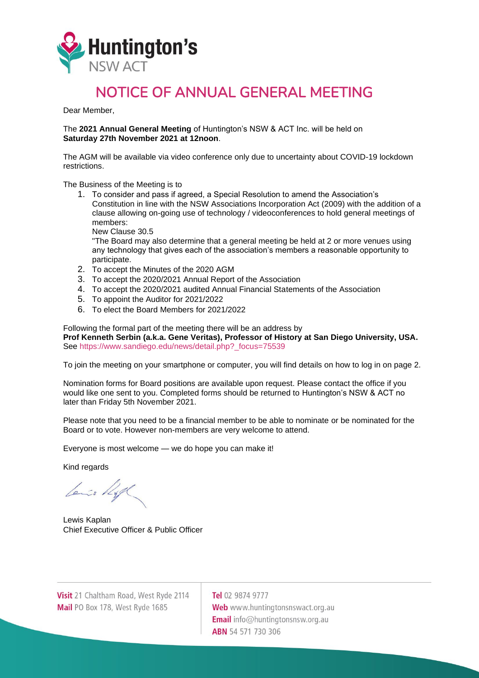

## NOTICE OF ANNUAL GENERAL MEETING

Dear Member,

The **2021 Annual General Meeting** of Huntington's NSW & ACT Inc. will be held on **Saturday 27th November 2021 at 12noon**.

The AGM will be available via video conference only due to uncertainty about COVID-19 lockdown restrictions.

The Business of the Meeting is to

1. To consider and pass if agreed, a Special Resolution to amend the Association's Constitution in line with the NSW Associations Incorporation Act (2009) with the addition of a clause allowing on-going use of technology / videoconferences to hold general meetings of members:

New Clause 30.5

"The Board may also determine that a general meeting be held at 2 or more venues using any technology that gives each of the association's members a reasonable opportunity to participate.

- 2. To accept the Minutes of the 2020 AGM
- 3. To accept the 2020/2021 Annual Report of the Association
- 4. To accept the 2020/2021 audited Annual Financial Statements of the Association
- 5. To appoint the Auditor for 2021/2022
- 6. To elect the Board Members for 2021/2022

## Following the formal part of the meeting there will be an address by

**Prof Kenneth Serbin (a.k.a. Gene Veritas), Professor of History at San Diego University, USA.** See [https://www.sandiego.edu/news/detail.php?\\_focus=75539](https://www.sandiego.edu/news/detail.php?_focus=75539)

To join the meeting on your smartphone or computer, you will find details on how to log in on page 2.

Nomination forms for Board positions are available upon request. Please contact the office if you would like one sent to you. Completed forms should be returned to Huntington's NSW & ACT no later than Friday 5th November 2021.

Please note that you need to be a financial member to be able to nominate or be nominated for the Board or to vote. However non-members are very welcome to attend.

Everyone is most welcome — we do hope you can make it!

Kind regards

Lenis Right

Lewis Kaplan Chief Executive Officer & Public Officer

Visit 21 Chaltham Road, West Ryde 2114 Mail PO Box 178, West Ryde 1685

Tel 02 9874 9777 Web www.huntingtonsnswact.org.au **Email** info@huntingtonsnsw.org.au **ABN** 54 571 730 306